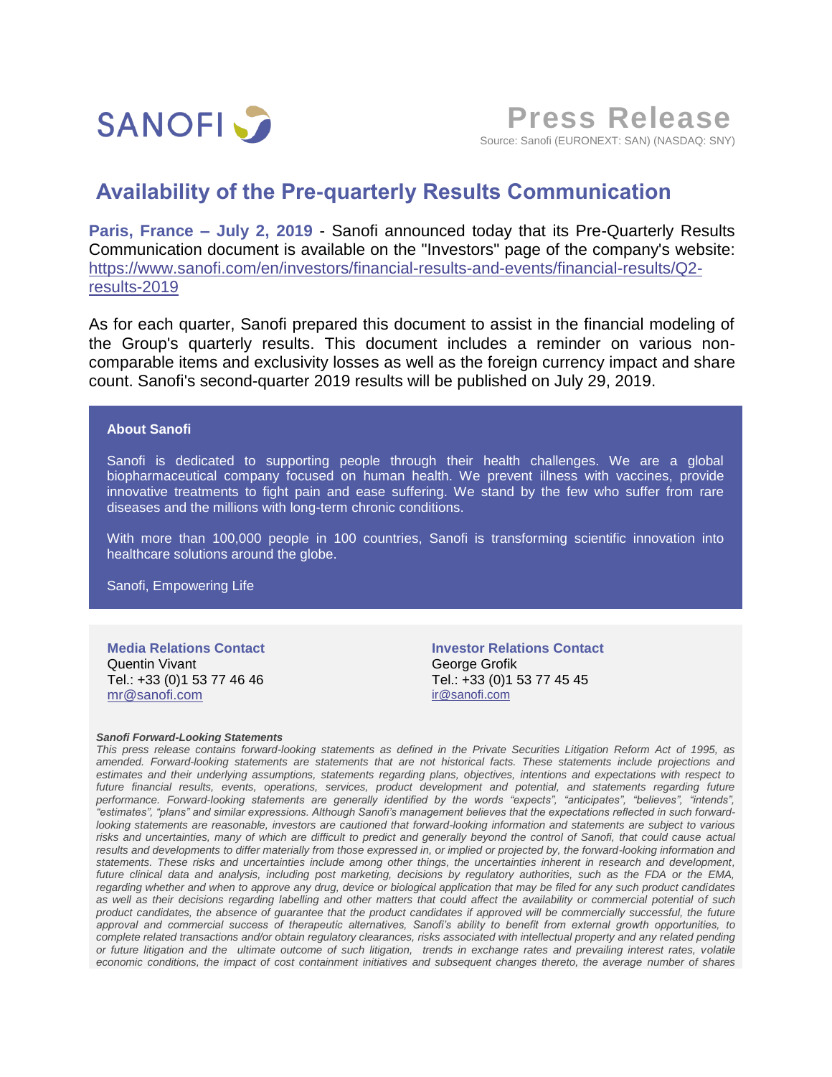

**Press Release** Source: Sanofi (EURONEXT: SAN) (NASDAQ: SNY)

## **Availability of the Pre-quarterly Results Communication**

**Paris, France – July 2, 2019** - Sanofi announced today that its Pre-Quarterly Results Communication document is available on the "Investors" page of the company's website: [https://www.sanofi.com/en/investors/financial-results-and-events/financial-results/Q2](https://www.sanofi.com/en/investors/financial-results-and-events/financial-results/Q2-results-2019) [results-2019](https://www.sanofi.com/en/investors/financial-results-and-events/financial-results/Q2-results-2019)

As for each quarter, Sanofi prepared this document to assist in the financial modeling of the Group's quarterly results. This document includes a reminder on various noncomparable items and exclusivity losses as well as the foreign currency impact and share count. Sanofi's second-quarter 2019 results will be published on July 29, 2019.

## **About Sanofi**

Sanofi is dedicated to supporting people through their health challenges. We are a global biopharmaceutical company focused on human health. We prevent illness with vaccines, provide innovative treatments to fight pain and ease suffering. We stand by the few who suffer from rare diseases and the millions with long-term chronic conditions.

With more than 100,000 people in 100 countries, Sanofi is transforming scientific innovation into healthcare solutions around the globe.

Sanofi, Empowering Life

**Media Relations Contact** Quentin Vivant Tel.: +33 (0)1 53 77 46 46 [mr@sanofi.com](mailto:mr@sanofi.com)

**Investor Relations Contact** George Grofik Tel.: +33 (0)1 53 77 45 45 [ir@sanofi.com](mailto:ir@sanofi.com)

## *Sanofi Forward-Looking Statements*

*This press release contains forward-looking statements as defined in the Private Securities Litigation Reform Act of 1995, as amended. Forward-looking statements are statements that are not historical facts. These statements include projections and estimates and their underlying assumptions, statements regarding plans, objectives, intentions and expectations with respect to future financial results, events, operations, services, product development and potential, and statements regarding future performance. Forward-looking statements are generally identified by the words "expects", "anticipates", "believes", "intends", "estimates", "plans" and similar expressions. Although Sanofi's management believes that the expectations reflected in such forwardlooking statements are reasonable, investors are cautioned that forward-looking information and statements are subject to various*  risks and uncertainties, many of which are difficult to predict and generally beyond the control of Sanofi, that could cause actual *results and developments to differ materially from those expressed in, or implied or projected by, the forward-looking information and statements. These risks and uncertainties include among other things, the uncertainties inherent in research and development, future clinical data and analysis, including post marketing, decisions by regulatory authorities, such as the FDA or the EMA, regarding whether and when to approve any drug, device or biological application that may be filed for any such product candidates as well as their decisions regarding labelling and other matters that could affect the availability or commercial potential of such product candidates, the absence of guarantee that the product candidates if approved will be commercially successful, the future approval and commercial success of therapeutic alternatives, Sanofi's ability to benefit from external growth opportunities, to complete related transactions and/or obtain regulatory clearances, risks associated with intellectual property and any related pending or future litigation and the ultimate outcome of such litigation, trends in exchange rates and prevailing interest rates, volatile economic conditions, the impact of cost containment initiatives and subsequent changes thereto, the average number of shares*